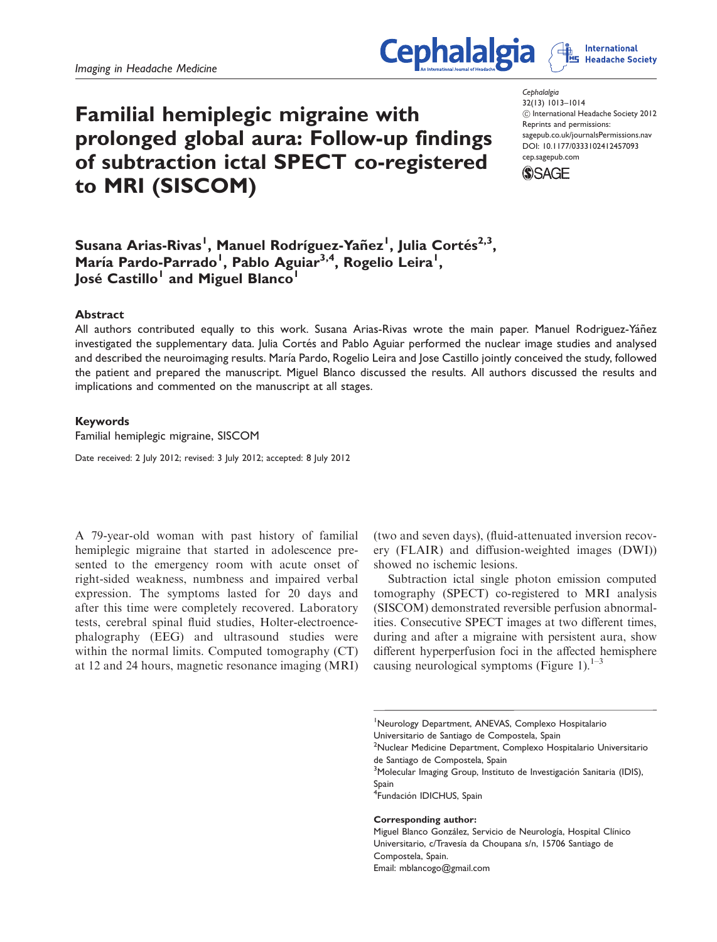# Familial hemiplegic migraine with prolonged global aura: Follow-up findings of subtraction ictal SPECT co-registered to MRI (SISCOM)

**Cephalalgia** 32(13) 1013–1014 ! International Headache Society 2012 Reprints and permissions: sagepub.co.uk/journalsPermissions.nav DOI: 10.1177/0333102412457093 cep.sagepub.com



**Cephalalgia** 

Susana Arias-Rivas<sup>I</sup>, Manuel Rodríguez-Yañez<sup>I</sup>, Julia Cortés<sup>2,3</sup>, María Pardo-Parrado<sup>1</sup>, Pablo Aguiar<sup>3,4</sup>, Rogelio Leira<sup>1</sup>, José Castillo<sup>l</sup> and Miguel Blanco<sup>l</sup>

## Abstract

All authors contributed equally to this work. Susana Arias-Rivas wrote the main paper. Manuel Rodriguez-Yáñez investigated the supplementary data. Julia Cortés and Pablo Aguiar performed the nuclear image studies and analysed and described the neuroimaging results. María Pardo, Rogelio Leira and Jose Castillo jointly conceived the study, followed the patient and prepared the manuscript. Miguel Blanco discussed the results. All authors discussed the results and implications and commented on the manuscript at all stages.

### Keywords

Familial hemiplegic migraine, SISCOM

Date received: 2 July 2012; revised: 3 July 2012; accepted: 8 July 2012

A 79-year-old woman with past history of familial hemiplegic migraine that started in adolescence presented to the emergency room with acute onset of right-sided weakness, numbness and impaired verbal expression. The symptoms lasted for 20 days and after this time were completely recovered. Laboratory tests, cerebral spinal fluid studies, Holter-electroencephalography (EEG) and ultrasound studies were within the normal limits. Computed tomography (CT) at 12 and 24 hours, magnetic resonance imaging (MRI)

(two and seven days), (fluid-attenuated inversion recovery (FLAIR) and diffusion-weighted images (DWI)) showed no ischemic lesions.

Subtraction ictal single photon emission computed tomography (SPECT) co-registered to MRI analysis (SISCOM) demonstrated reversible perfusion abnormalities. Consecutive SPECT images at two different times, during and after a migraine with persistent aura, show different hyperperfusion foci in the affected hemisphere causing neurological symptoms (Figure 1). $1-3$ 

<sup>1</sup>Neurology Department, ANEVAS, Complexo Hospitalario Universitario de Santiago de Compostela, Spain

<sup>2</sup>Nuclear Medicine Department, Complexo Hospitalario Universitario de Santiago de Compostela, Spain

<sup>3</sup>Molecular Imaging Group, Instituto de Investigación Sanitaria (IDIS), Spain

<sup>4</sup>Fundación IDICHUS, Spain

#### Corresponding author:

Miguel Blanco González, Servicio de Neurología, Hospital Clínico Universitario, c/Travesía da Choupana s/n, 15706 Santiago de Compostela, Spain. Email: mblancogo@gmail.com